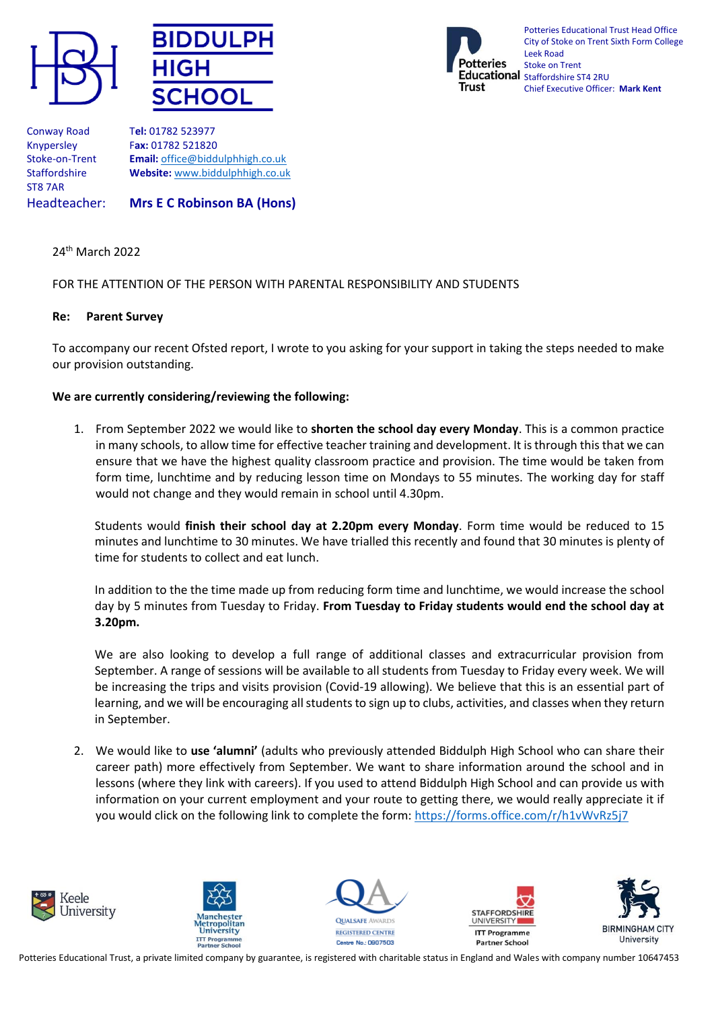





Potteries Educational Trust Head Office City of Stoke on Trent Sixth Form College Leek Road Stoke on Trent Educational Staffordshire ST4 2RU Chief Executive Officer: **Mark Kent**

ST8 7AR

Conway Road T**el:** 01782 523977 Knypersley F**ax:** 01782 521820 Stoke-on-Trent **Email:** [office@biddulphhigh.co.uk](mailto:office@biddulphhigh.co.uk) Staffordshire **Website:** [www.biddulphhigh.co.uk](http://www.biddulphhigh.co.uk/) 

Headteacher: **Mrs E C Robinson BA (Hons)** 

## 24th March 2022

## FOR THE ATTENTION OF THE PERSON WITH PARENTAL RESPONSIBILITY AND STUDENTS

## **Re: Parent Survey**

To accompany our recent Ofsted report, I wrote to you asking for your support in taking the steps needed to make our provision outstanding.

## **We are currently considering/reviewing the following:**

1. From September 2022 we would like to **shorten the school day every Monday**. This is a common practice in many schools, to allow time for effective teacher training and development. It is through this that we can ensure that we have the highest quality classroom practice and provision. The time would be taken from form time, lunchtime and by reducing lesson time on Mondays to 55 minutes. The working day for staff would not change and they would remain in school until 4.30pm.

Students would **finish their school day at 2.20pm every Monday**. Form time would be reduced to 15 minutes and lunchtime to 30 minutes. We have trialled this recently and found that 30 minutes is plenty of time for students to collect and eat lunch.

In addition to the the time made up from reducing form time and lunchtime, we would increase the school day by 5 minutes from Tuesday to Friday. **From Tuesday to Friday students would end the school day at 3.20pm.** 

We are also looking to develop a full range of additional classes and extracurricular provision from September. A range of sessions will be available to all students from Tuesday to Friday every week. We will be increasing the trips and visits provision (Covid-19 allowing). We believe that this is an essential part of learning, and we will be encouraging all students to sign up to clubs, activities, and classes when they return in September.

2. We would like to **use 'alumni'** (adults who previously attended Biddulph High School who can share their career path) more effectively from September. We want to share information around the school and in lessons (where they link with careers). If you used to attend Biddulph High School and can provide us with information on your current employment and your route to getting there, we would really appreciate it if you would click on the following link to complete the form[: https://forms.office.com/r/h1vWvRz5j7](https://forms.office.com/r/h1vWvRz5j7)











Potteries Educational Trust, a private limited company by guarantee, is registered with charitable status in England and Wales with company number 10647453